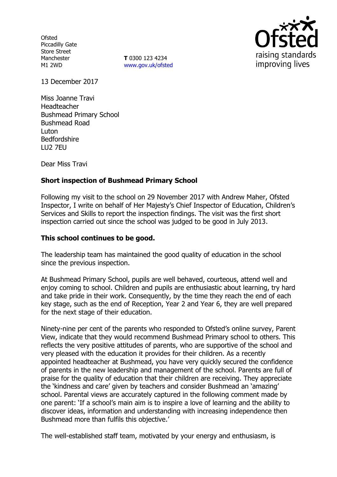**Ofsted** Piccadilly Gate Store Street Manchester M1 2WD

**T** 0300 123 4234 www.gov.uk/ofsted



13 December 2017

Miss Joanne Travi Headteacher Bushmead Primary School Bushmead Road Luton Bedfordshire LU2 7EU

Dear Miss Travi

# **Short inspection of Bushmead Primary School**

Following my visit to the school on 29 November 2017 with Andrew Maher, Ofsted Inspector, I write on behalf of Her Majesty's Chief Inspector of Education, Children's Services and Skills to report the inspection findings. The visit was the first short inspection carried out since the school was judged to be good in July 2013.

## **This school continues to be good.**

The leadership team has maintained the good quality of education in the school since the previous inspection.

At Bushmead Primary School, pupils are well behaved, courteous, attend well and enjoy coming to school. Children and pupils are enthusiastic about learning, try hard and take pride in their work. Consequently, by the time they reach the end of each key stage, such as the end of Reception, Year 2 and Year 6, they are well prepared for the next stage of their education.

Ninety-nine per cent of the parents who responded to Ofsted's online survey, Parent View, indicate that they would recommend Bushmead Primary school to others. This reflects the very positive attitudes of parents, who are supportive of the school and very pleased with the education it provides for their children. As a recently appointed headteacher at Bushmead, you have very quickly secured the confidence of parents in the new leadership and management of the school. Parents are full of praise for the quality of education that their children are receiving. They appreciate the 'kindness and care' given by teachers and consider Bushmead an 'amazing' school. Parental views are accurately captured in the following comment made by one parent: 'If a school's main aim is to inspire a love of learning and the ability to discover ideas, information and understanding with increasing independence then Bushmead more than fulfils this objective.'

The well-established staff team, motivated by your energy and enthusiasm, is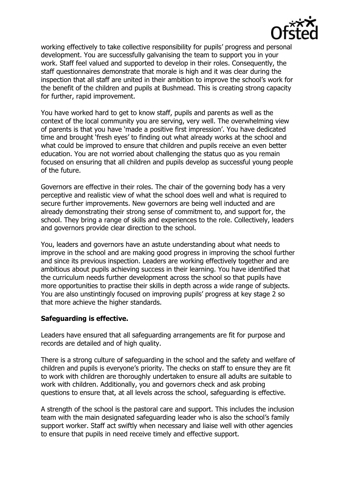

working effectively to take collective responsibility for pupils' progress and personal development. You are successfully galvanising the team to support you in your work. Staff feel valued and supported to develop in their roles. Consequently, the staff questionnaires demonstrate that morale is high and it was clear during the inspection that all staff are united in their ambition to improve the school's work for the benefit of the children and pupils at Bushmead. This is creating strong capacity for further, rapid improvement.

You have worked hard to get to know staff, pupils and parents as well as the context of the local community you are serving, very well. The overwhelming view of parents is that you have 'made a positive first impression'. You have dedicated time and brought 'fresh eyes' to finding out what already works at the school and what could be improved to ensure that children and pupils receive an even better education. You are not worried about challenging the status quo as you remain focused on ensuring that all children and pupils develop as successful young people of the future.

Governors are effective in their roles. The chair of the governing body has a very perceptive and realistic view of what the school does well and what is required to secure further improvements. New governors are being well inducted and are already demonstrating their strong sense of commitment to, and support for, the school. They bring a range of skills and experiences to the role. Collectively, leaders and governors provide clear direction to the school.

You, leaders and governors have an astute understanding about what needs to improve in the school and are making good progress in improving the school further and since its previous inspection. Leaders are working effectively together and are ambitious about pupils achieving success in their learning. You have identified that the curriculum needs further development across the school so that pupils have more opportunities to practise their skills in depth across a wide range of subjects. You are also unstintingly focused on improving pupils' progress at key stage 2 so that more achieve the higher standards.

### **Safeguarding is effective.**

Leaders have ensured that all safeguarding arrangements are fit for purpose and records are detailed and of high quality.

There is a strong culture of safeguarding in the school and the safety and welfare of children and pupils is everyone's priority. The checks on staff to ensure they are fit to work with children are thoroughly undertaken to ensure all adults are suitable to work with children. Additionally, you and governors check and ask probing questions to ensure that, at all levels across the school, safeguarding is effective.

A strength of the school is the pastoral care and support. This includes the inclusion team with the main designated safeguarding leader who is also the school's family support worker. Staff act swiftly when necessary and liaise well with other agencies to ensure that pupils in need receive timely and effective support.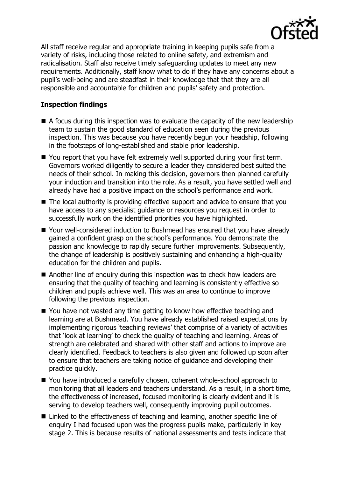

All staff receive regular and appropriate training in keeping pupils safe from a variety of risks, including those related to online safety, and extremism and radicalisation. Staff also receive timely safeguarding updates to meet any new requirements. Additionally, staff know what to do if they have any concerns about a pupil's well-being and are steadfast in their knowledge that that they are all responsible and accountable for children and pupils' safety and protection.

# **Inspection findings**

- $\blacksquare$  A focus during this inspection was to evaluate the capacity of the new leadership team to sustain the good standard of education seen during the previous inspection. This was because you have recently begun your headship, following in the footsteps of long-established and stable prior leadership.
- You report that you have felt extremely well supported during your first term. Governors worked diligently to secure a leader they considered best suited the needs of their school. In making this decision, governors then planned carefully your induction and transition into the role. As a result, you have settled well and already have had a positive impact on the school's performance and work.
- The local authority is providing effective support and advice to ensure that you have access to any specialist guidance or resources you request in order to successfully work on the identified priorities you have highlighted.
- Your well-considered induction to Bushmead has ensured that you have already gained a confident grasp on the school's performance. You demonstrate the passion and knowledge to rapidly secure further improvements. Subsequently, the change of leadership is positively sustaining and enhancing a high-quality education for the children and pupils.
- Another line of enquiry during this inspection was to check how leaders are ensuring that the quality of teaching and learning is consistently effective so children and pupils achieve well. This was an area to continue to improve following the previous inspection.
- You have not wasted any time getting to know how effective teaching and learning are at Bushmead. You have already established raised expectations by implementing rigorous 'teaching reviews' that comprise of a variety of activities that 'look at learning' to check the quality of teaching and learning. Areas of strength are celebrated and shared with other staff and actions to improve are clearly identified. Feedback to teachers is also given and followed up soon after to ensure that teachers are taking notice of guidance and developing their practice quickly.
- You have introduced a carefully chosen, coherent whole-school approach to monitoring that all leaders and teachers understand. As a result, in a short time, the effectiveness of increased, focused monitoring is clearly evident and it is serving to develop teachers well, consequently improving pupil outcomes.
- Linked to the effectiveness of teaching and learning, another specific line of enquiry I had focused upon was the progress pupils make, particularly in key stage 2. This is because results of national assessments and tests indicate that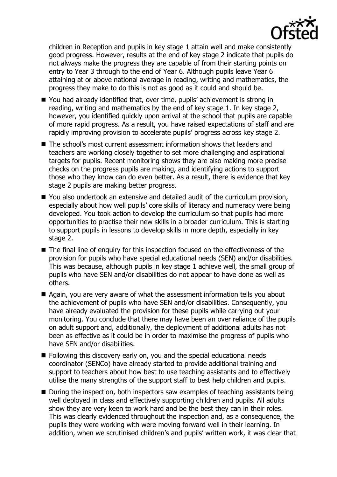

children in Reception and pupils in key stage 1 attain well and make consistently good progress. However, results at the end of key stage 2 indicate that pupils do not always make the progress they are capable of from their starting points on entry to Year 3 through to the end of Year 6. Although pupils leave Year 6 attaining at or above national average in reading, writing and mathematics, the progress they make to do this is not as good as it could and should be.

- You had already identified that, over time, pupils' achievement is strong in reading, writing and mathematics by the end of key stage 1. In key stage 2, however, you identified quickly upon arrival at the school that pupils are capable of more rapid progress. As a result, you have raised expectations of staff and are rapidly improving provision to accelerate pupils' progress across key stage 2.
- The school's most current assessment information shows that leaders and teachers are working closely together to set more challenging and aspirational targets for pupils. Recent monitoring shows they are also making more precise checks on the progress pupils are making, and identifying actions to support those who they know can do even better. As a result, there is evidence that key stage 2 pupils are making better progress.
- You also undertook an extensive and detailed audit of the curriculum provision, especially about how well pupils' core skills of literacy and numeracy were being developed. You took action to develop the curriculum so that pupils had more opportunities to practise their new skills in a broader curriculum. This is starting to support pupils in lessons to develop skills in more depth, especially in key stage 2.
- The final line of enquiry for this inspection focused on the effectiveness of the provision for pupils who have special educational needs (SEN) and/or disabilities. This was because, although pupils in key stage 1 achieve well, the small group of pupils who have SEN and/or disabilities do not appear to have done as well as others.
- Again, you are very aware of what the assessment information tells you about the achievement of pupils who have SEN and/or disabilities. Consequently, you have already evaluated the provision for these pupils while carrying out your monitoring. You conclude that there may have been an over reliance of the pupils on adult support and, additionally, the deployment of additional adults has not been as effective as it could be in order to maximise the progress of pupils who have SEN and/or disabilities.
- **Following this discovery early on, you and the special educational needs** coordinator (SENCo) have already started to provide additional training and support to teachers about how best to use teaching assistants and to effectively utilise the many strengths of the support staff to best help children and pupils.
- During the inspection, both inspectors saw examples of teaching assistants being well deployed in class and effectively supporting children and pupils. All adults show they are very keen to work hard and be the best they can in their roles. This was clearly evidenced throughout the inspection and, as a consequence, the pupils they were working with were moving forward well in their learning. In addition, when we scrutinised children's and pupils' written work, it was clear that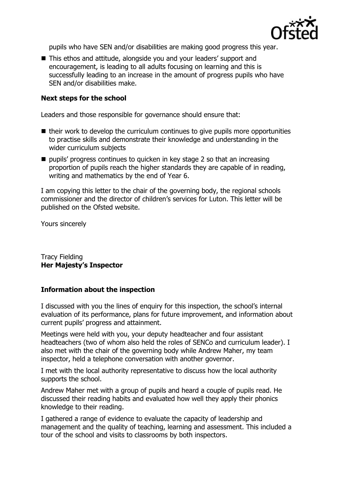

pupils who have SEN and/or disabilities are making good progress this year.

■ This ethos and attitude, alongside you and your leaders' support and encouragement, is leading to all adults focusing on learning and this is successfully leading to an increase in the amount of progress pupils who have SEN and/or disabilities make.

#### **Next steps for the school**

Leaders and those responsible for governance should ensure that:

- $\blacksquare$  their work to develop the curriculum continues to give pupils more opportunities to practise skills and demonstrate their knowledge and understanding in the wider curriculum subjects
- **P** pupils' progress continues to quicken in key stage 2 so that an increasing proportion of pupils reach the higher standards they are capable of in reading, writing and mathematics by the end of Year 6.

I am copying this letter to the chair of the governing body, the regional schools commissioner and the director of children's services for Luton. This letter will be published on the Ofsted website.

Yours sincerely

Tracy Fielding **Her Majesty's Inspector**

### **Information about the inspection**

I discussed with you the lines of enquiry for this inspection, the school's internal evaluation of its performance, plans for future improvement, and information about current pupils' progress and attainment.

Meetings were held with you, your deputy headteacher and four assistant headteachers (two of whom also held the roles of SENCo and curriculum leader). I also met with the chair of the governing body while Andrew Maher, my team inspector, held a telephone conversation with another governor.

I met with the local authority representative to discuss how the local authority supports the school.

Andrew Maher met with a group of pupils and heard a couple of pupils read. He discussed their reading habits and evaluated how well they apply their phonics knowledge to their reading.

I gathered a range of evidence to evaluate the capacity of leadership and management and the quality of teaching, learning and assessment. This included a tour of the school and visits to classrooms by both inspectors.